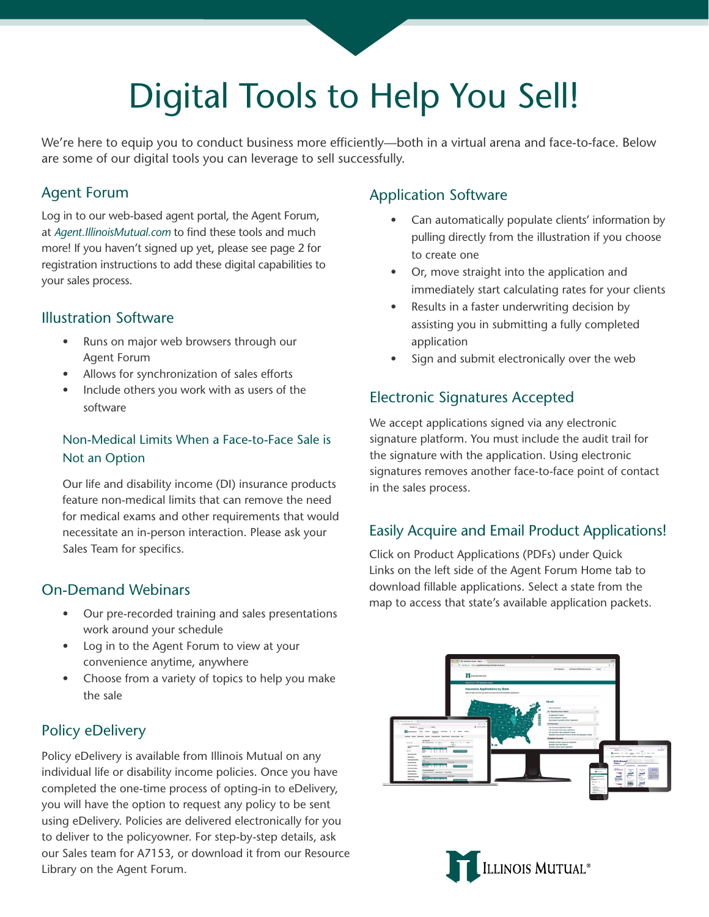# Digital Tools to Help You Sell!

We're here to equip you to conduct business more efficiently—both in a virtual arena and face-to-face. Below are some of our digital tools you can leverage to sell successfully.

#### Agent Forum

Log in to our web-based agent portal, the Agent Forum, at *[Agent.IllinoisMutual.com](https://Agent.IllinoisMutual.com)* to find these tools and much more! If you haven't signed up yet, please see page 2 for registration instructions to add these digital capabilities to your sales process.

#### Illustration Software

- Runs on major web browsers through our Agent Forum
- Allows for synchronization of sales efforts
- Include others you work with as users of the software

#### Non-Medical Limits When a Face-to-Face Sale is Not an Option

Our life and disability income (DI) insurance products feature non-medical limits that can remove the need for medical exams and other requirements that would necessitate an in-person interaction. Please ask your Sales Team for specifics.

#### On-Demand Webinars

- Our pre-recorded training and sales presentations work around your schedule
- Log in to the Agent Forum to view at your convenience anytime, anywhere
- Choose from a variety of topics to help you make the sale

## Policy eDelivery

Policy eDelivery is available from Illinois Mutual on any individual life or disability income policies. Once you have completed the one-time process of opting-in to eDelivery, you will have the option to request any policy to be sent using eDelivery. Policies are delivered electronically for you to deliver to the policyowner. For step-by-step details, ask our Sales team for A7153, or download it from our Resource Library on the Agent Forum.

#### Application Software

- Can automatically populate clients' information by pulling directly from the illustration if you choose to create one
- Or, move straight into the application and immediately start calculating rates for your clients
- Results in a faster underwriting decision by assisting you in submitting a fully completed application
- Sign and submit electronically over the web

### Electronic Signatures Accepted

We accept applications signed via any electronic signature platform. You must include the audit trail for the signature with the application. Using electronic signatures removes another face-to-face point of contact in the sales process.

## Easily Acquire and Email Product Applications!

Click on Product Applications (PDFs) under Quick Links on the left side of the Agent Forum Home tab to download fillable applications. Select a state from the map to access that state's available application packets.